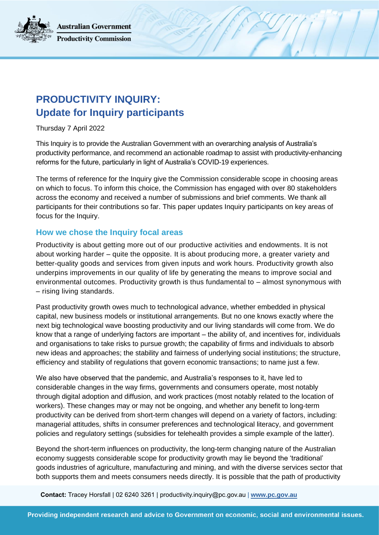**Australian Government Productivity Commission** 



Thursday 7 April 2022

This Inquiry is to provide the Australian Government with an overarching analysis of Australia's productivity performance, and recommend an actionable roadmap to assist with productivity-enhancing reforms for the future, particularly in light of Australia's COVID-19 experiences.

The terms of reference for the Inquiry give the Commission considerable scope in choosing areas on which to focus. To inform this choice, the Commission has engaged with over 80 stakeholders across the economy and received a number of submissions and brief comments. We thank all participants for their contributions so far. This paper updates Inquiry participants on key areas of focus for the Inquiry.

## **How we chose the Inquiry focal areas**

Productivity is about getting more out of our productive activities and endowments. It is not about working harder – quite the opposite. It is about producing more, a greater variety and better-quality goods and services from given inputs and work hours. Productivity growth also underpins improvements in our quality of life by generating the means to improve social and environmental outcomes. Productivity growth is thus fundamental to – almost synonymous with – rising living standards.

Past productivity growth owes much to technological advance, whether embedded in physical capital, new business models or institutional arrangements. But no one knows exactly where the next big technological wave boosting productivity and our living standards will come from. We do know that a range of underlying factors are important – the ability of, and incentives for, individuals and organisations to take risks to pursue growth; the capability of firms and individuals to absorb new ideas and approaches; the stability and fairness of underlying social institutions; the structure, efficiency and stability of regulations that govern economic transactions; to name just a few.

We also have observed that the pandemic, and Australia's responses to it, have led to considerable changes in the way firms, governments and consumers operate, most notably through digital adoption and diffusion, and work practices (most notably related to the location of workers). These changes may or may not be ongoing, and whether any benefit to long-term productivity can be derived from short-term changes will depend on a variety of factors, including: managerial attitudes, shifts in consumer preferences and technological literacy, and government policies and regulatory settings (subsidies for telehealth provides a simple example of the latter).

Beyond the short-term influences on productivity, the long-term changing nature of the Australian economy suggests considerable scope for productivity growth may lie beyond the 'traditional' goods industries of agriculture, manufacturing and mining, and with the diverse services sector that both supports them and meets consumers needs directly. It is possible that the path of productivity

**Contact:** Tracey Horsfall | 02 6240 3261 | productivity.inquiry@pc.gov.au | **[www.pc.gov.au](http://www.pc.gov.au/)**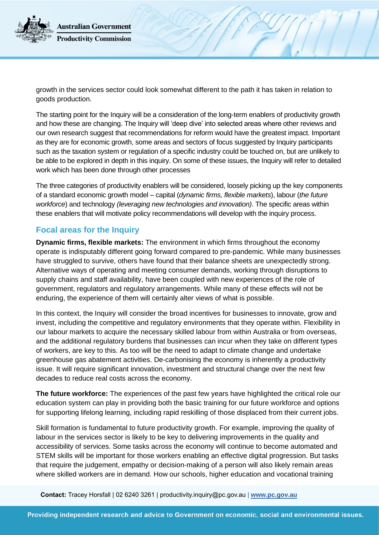**Australian Government Productivity Commission** 

growth in the services sector could look somewhat different to the path it has taken in relation to goods production.

The starting point for the Inquiry will be a consideration of the long-term enablers of productivity growth and how these are changing. The Inquiry will 'deep dive' into selected areas where other reviews and our own research suggest that recommendations for reform would have the greatest impact. Important as they are for economic growth, some areas and sectors of focus suggested by Inquiry participants such as the taxation system or regulation of a specific industry could be touched on, but are unlikely to be able to be explored in depth in this inquiry. On some of these issues, the Inquiry will refer to detailed work which has been done through other processes

The three categories of productivity enablers will be considered, loosely picking up the key components of a standard economic growth model – capital (*dynamic firms, flexible markets*), labour (*the future workforce*) and technology *(leveraging new technologies and innovation)*. The specific areas within these enablers that will motivate policy recommendations will develop with the inquiry process.

## **Focal areas for the Inquiry**

**Dynamic firms, flexible markets:** The environment in which firms throughout the economy operate is indisputably different going forward compared to pre-pandemic. While many businesses have struggled to survive, others have found that their balance sheets are unexpectedly strong. Alternative ways of operating and meeting consumer demands, working through disruptions to supply chains and staff availability, have been coupled with new experiences of the role of government, regulators and regulatory arrangements. While many of these effects will not be enduring, the experience of them will certainly alter views of what is possible.

In this context, the Inquiry will consider the broad incentives for businesses to innovate, grow and invest, including the competitive and regulatory environments that they operate within. Flexibility in our labour markets to acquire the necessary skilled labour from within Australia or from overseas, and the additional regulatory burdens that businesses can incur when they take on different types of workers, are key to this. As too will be the need to adapt to climate change and undertake greenhouse gas abatement activities. De-carbonising the economy is inherently a productivity issue. It will require significant innovation, investment and structural change over the next few decades to reduce real costs across the economy.

**The future workforce:** The experiences of the past few years have highlighted the critical role our education system can play in providing both the basic training for our future workforce and options for supporting lifelong learning, including rapid reskilling of those displaced from their current jobs.

Skill formation is fundamental to future productivity growth. For example, improving the quality of labour in the services sector is likely to be key to delivering improvements in the quality and accessibility of services. Some tasks across the economy will continue to become automated and STEM skills will be important for those workers enabling an effective digital progression. But tasks that require the judgement, empathy or decision-making of a person will also likely remain areas where skilled workers are in demand. How our schools, higher education and vocational training

**Contact:** Tracey Horsfall | 02 6240 3261 | productivity.inquiry@pc.gov.au | **[www.pc.gov.au](http://www.pc.gov.au/)**